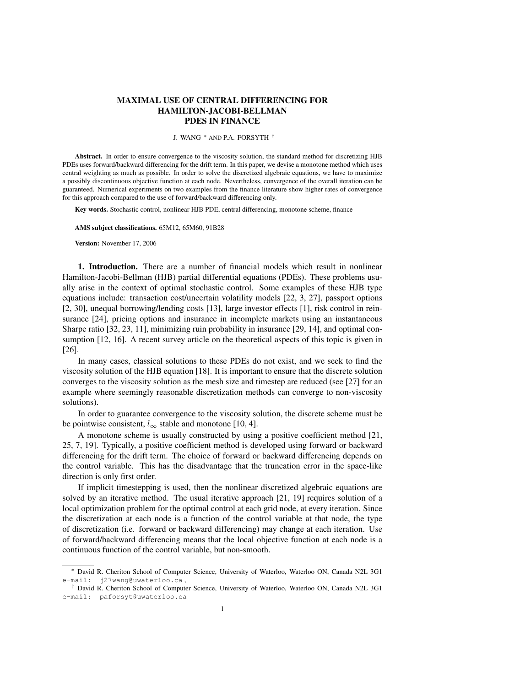# MAXIMAL USE OF CENTRAL DIFFERENCING FOR HAMILTON-JACOBI-BELLMAN PDES IN FINANCE

#### J. WANG <sup>∗</sup> AND P.A. FORSYTH †

Abstract. In order to ensure convergence to the viscosity solution, the standard method for discretizing HJB PDEs uses forward/backward differencing for the drift term. In this paper, we devise a monotone method which uses central weighting as much as possible. In order to solve the discretized algebraic equations, we have to maximize a possibly discontinuous objective function at each node. Nevertheless, convergence of the overall iteration can be guaranteed. Numerical experiments on two examples from the finance literature show higher rates of convergence for this approach compared to the use of forward/backward differencing only.

Key words. Stochastic control, nonlinear HJB PDE, central differencing, monotone scheme, finance

AMS subject classifications. 65M12, 65M60, 91B28

Version: November 17, 2006

1. Introduction. There are a number of financial models which result in nonlinear Hamilton-Jacobi-Bellman (HJB) partial differential equations (PDEs). These problems usually arise in the context of optimal stochastic control. Some examples of these HJB type equations include: transaction cost/uncertain volatility models [22, 3, 27], passport options [2, 30], unequal borrowing/lending costs [13], large investor effects [1], risk control in reinsurance [24], pricing options and insurance in incomplete markets using an instantaneous Sharpe ratio [32, 23, 11], minimizing ruin probability in insurance [29, 14], and optimal consumption [12, 16]. A recent survey article on the theoretical aspects of this topic is given in [26].

In many cases, classical solutions to these PDEs do not exist, and we seek to find the viscosity solution of the HJB equation [18]. It is important to ensure that the discrete solution converges to the viscosity solution as the mesh size and timestep are reduced (see [27] for an example where seemingly reasonable discretization methods can converge to non-viscosity solutions).

In order to guarantee convergence to the viscosity solution, the discrete scheme must be be pointwise consistent,  $l_{\infty}$  stable and monotone [10, 4].

A monotone scheme is usually constructed by using a positive coefficient method [21, 25, 7, 19]. Typically, a positive coefficient method is developed using forward or backward differencing for the drift term. The choice of forward or backward differencing depends on the control variable. This has the disadvantage that the truncation error in the space-like direction is only first order.

If implicit timestepping is used, then the nonlinear discretized algebraic equations are solved by an iterative method. The usual iterative approach [21, 19] requires solution of a local optimization problem for the optimal control at each grid node, at every iteration. Since the discretization at each node is a function of the control variable at that node, the type of discretization (i.e. forward or backward differencing) may change at each iteration. Use of forward/backward differencing means that the local objective function at each node is a continuous function of the control variable, but non-smooth.

<sup>∗</sup> David R. Cheriton School of Computer Science, University of Waterloo, Waterloo ON, Canada N2L 3G1 e-mail: j27wang@uwaterloo.ca ,

<sup>†</sup> David R. Cheriton School of Computer Science, University of Waterloo, Waterloo ON, Canada N2L 3G1 e-mail: paforsyt@uwaterloo.ca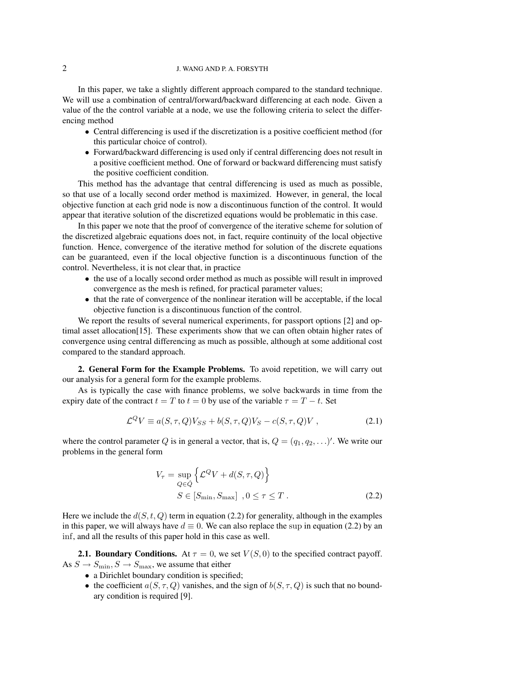# 2 J. WANG AND P. A. FORSYTH

In this paper, we take a slightly different approach compared to the standard technique. We will use a combination of central/forward/backward differencing at each node. Given a value of the the control variable at a node, we use the following criteria to select the differencing method

- Central differencing is used if the discretization is a positive coefficient method (for this particular choice of control).
- Forward/backward differencing is used only if central differencing does not result in a positive coefficient method. One of forward or backward differencing must satisfy the positive coefficient condition.

This method has the advantage that central differencing is used as much as possible, so that use of a locally second order method is maximized. However, in general, the local objective function at each grid node is now a discontinuous function of the control. It would appear that iterative solution of the discretized equations would be problematic in this case.

In this paper we note that the proof of convergence of the iterative scheme for solution of the discretized algebraic equations does not, in fact, require continuity of the local objective function. Hence, convergence of the iterative method for solution of the discrete equations can be guaranteed, even if the local objective function is a discontinuous function of the control. Nevertheless, it is not clear that, in practice

- the use of a locally second order method as much as possible will result in improved convergence as the mesh is refined, for practical parameter values;
- that the rate of convergence of the nonlinear iteration will be acceptable, if the local objective function is a discontinuous function of the control.

We report the results of several numerical experiments, for passport options [2] and optimal asset allocation[15]. These experiments show that we can often obtain higher rates of convergence using central differencing as much as possible, although at some additional cost compared to the standard approach.

2. General Form for the Example Problems. To avoid repetition, we will carry out our analysis for a general form for the example problems.

As is typically the case with finance problems, we solve backwards in time from the expiry date of the contract  $t = T$  to  $t = 0$  by use of the variable  $\tau = T - t$ . Set

$$
\mathcal{L}^Q V \equiv a(S,\tau,Q)V_{SS} + b(S,\tau,Q)V_S - c(S,\tau,Q)V , \qquad (2.1)
$$

where the control parameter Q is in general a vector, that is,  $Q = (q_1, q_2, \ldots)'$ . We write our problems in the general form

$$
V_{\tau} = \sup_{Q \in \hat{Q}} \left\{ \mathcal{L}^{Q} V + d(S, \tau, Q) \right\}
$$
  

$$
S \in [S_{\min}, S_{\max}] , 0 \le \tau \le T .
$$
 (2.2)

Here we include the  $d(S, t, Q)$  term in equation (2.2) for generality, although in the examples in this paper, we will always have  $d \equiv 0$ . We can also replace the sup in equation (2.2) by an inf, and all the results of this paper hold in this case as well.

**2.1. Boundary Conditions.** At  $\tau = 0$ , we set  $V(S, 0)$  to the specified contract payoff. As  $S \to S_{\text{min}}$ ,  $S \to S_{\text{max}}$ , we assume that either

- a Dirichlet boundary condition is specified;
- the coefficient  $a(S, \tau, Q)$  vanishes, and the sign of  $b(S, \tau, Q)$  is such that no boundary condition is required [9].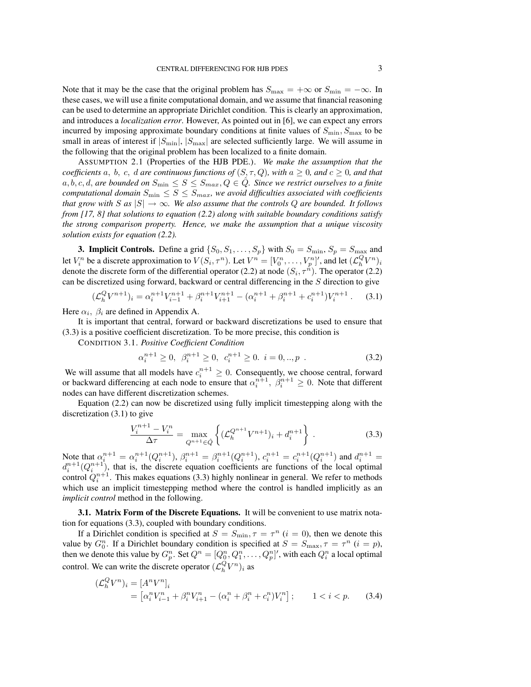Note that it may be the case that the original problem has  $S_{\text{max}} = +\infty$  or  $S_{\text{min}} = -\infty$ . In these cases, we will use a finite computational domain, and we assume that financial reasoning can be used to determine an appropriate Dirichlet condition. This is clearly an approximation, and introduces a *localization error*. However, As pointed out in [6], we can expect any errors incurred by imposing approximate boundary conditions at finite values of  $S_{\text{min}}$ ,  $S_{\text{max}}$  to be small in areas of interest if  $|S_{\text{min}}|$ ,  $|S_{\text{max}}|$  are selected sufficiently large. We will assume in the following that the original problem has been localized to a finite domain.

ASSUMPTION 2.1 (Properties of the HJB PDE.). *We make the assumption that the coefficients* a, b, c, d are continuous functions of  $(S, \tau, Q)$ *, with*  $a \geq 0$ *, and*  $c \geq 0$ *, and that* a, b, c, d, are bounded on  $S_{\min} \leq S \leq S_{max}$ ,  $Q \in \hat{Q}$ . Since we restrict ourselves to a finite *computational domain*  $S_{\text{min}} \leq S \leq S_{\text{max}}$ , we avoid difficulties associated with coefficients *that grow with* S as  $|S| \to \infty$ . We also assume that the controls Q are bounded. It follows *from [17, 8] that solutions to equation (2.2) along with suitable boundary conditions satisfy the strong comparison property. Hence, we make the assumption that a unique viscosity solution exists for equation (2.2).*

**3. Implicit Controls.** Define a grid  $\{S_0, S_1, \ldots, S_p\}$  with  $S_0 = S_{\text{min}}$ ,  $S_p = S_{\text{max}}$  and let  $V_i^n$  be a discrete approximation to  $V(S_i, \tau^n)$ . Let  $V^n = [V_0^n, \dots, V_p^n]'$ , and let  $(\mathcal{L}_h^Q V^n)_i$ denote the discrete form of the differential operator (2.2) at node  $(S_i, \tau^{\hat{n}})$ . The operator (2.2) can be discretized using forward, backward or central differencing in the S direction to give

$$
(\mathcal{L}_h^Q V^{n+1})_i = \alpha_i^{n+1} V_{i-1}^{n+1} + \beta_i^{n+1} V_{i+1}^{n+1} - (\alpha_i^{n+1} + \beta_i^{n+1} + c_i^{n+1}) V_i^{n+1}.
$$
 (3.1)

Here  $\alpha_i$ ,  $\beta_i$  are defined in Appendix A.

It is important that central, forward or backward discretizations be used to ensure that (3.3) is a positive coefficient discretization. To be more precise, this condition is

CONDITION 3.1. *Positive Coefficient Condition*

$$
\alpha_i^{n+1} \ge 0, \ \beta_i^{n+1} \ge 0, \ c_i^{n+1} \ge 0. \ i = 0,..,p \ . \tag{3.2}
$$

We will assume that all models have  $c_i^{n+1} \geq 0$ . Consequently, we choose central, forward or backward differencing at each node to ensure that  $\alpha_i^{n+1}$ ,  $\beta_i^{n+1} \geq 0$ . Note that different nodes can have different discretization schemes.

Equation (2.2) can now be discretized using fully implicit timestepping along with the discretization (3.1) to give

$$
\frac{V_i^{n+1} - V_i^n}{\Delta \tau} = \max_{Q^{n+1} \in \hat{Q}} \left\{ (\mathcal{L}_h^{Q^{n+1}} V^{n+1})_i + d_i^{n+1} \right\} \,. \tag{3.3}
$$

Note that  $\alpha_i^{n+1} = \alpha_i^{n+1}(Q_i^{n+1}), \beta_i^{n+1} = \beta_i^{n+1}(Q_i^{n+1}), c_i^{n+1} = c_i^{n+1}(Q_i^{n+1})$  and  $d_i^{n+1} =$  $d_i^{n+1}(Q_i^{n+1})$ , that is, the discrete equation coefficients are functions of the local optimal control  $Q_i^{n+1}$ . This makes equations (3.3) highly nonlinear in general. We refer to methods which use an implicit timestepping method where the control is handled implicitly as an *implicit control* method in the following.

3.1. Matrix Form of the Discrete Equations. It will be convenient to use matrix notation for equations (3.3), coupled with boundary conditions.

If a Dirichlet condition is specified at  $S = S_{\text{min}}$ ,  $\tau = \tau^n$  ( $i = 0$ ), then we denote this value by  $G_0^n$ . If a Dirichlet boundary condition is specified at  $S = S_{\text{max}}$ ,  $\tau = \tau^n$  ( $i = p$ ), then we denote this value by  $G_p^n$ . Set  $Q^n = [Q_0^n, Q_1^n, \ldots, Q_p^n]'$ , with each  $Q_i^n$  a local optimal control. We can write the discrete operator  $(\mathcal{L}_h^Q V^n)_i$  as

$$
\begin{aligned} (\mathcal{L}_h^Q V^n)_i &= [A^n V^n]_i \\ &= \left[ \alpha_i^n V_{i-1}^n + \beta_i^n V_{i+1}^n - (\alpha_i^n + \beta_i^n + c_i^n) V_i^n \right]; \qquad 1 < i < p. \end{aligned} \tag{3.4}
$$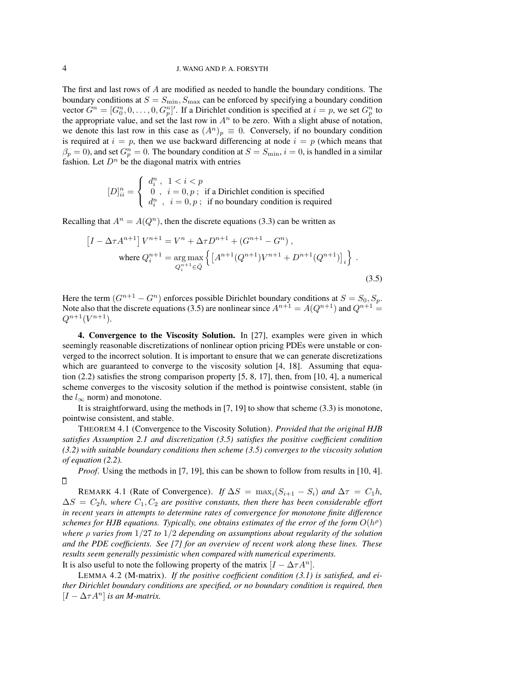The first and last rows of A are modified as needed to handle the boundary conditions. The boundary conditions at  $S = S_{\text{min}}$ ,  $S_{\text{max}}$  can be enforced by specifying a boundary condition vector  $G^n = [G_0^n, 0, \ldots, 0, G_p^n]'$ . If a Dirichlet condition is specified at  $i = p$ , we set  $G_p^n$  to the appropriate value, and set the last row in  $A<sup>n</sup>$  to be zero. With a slight abuse of notation, we denote this last row in this case as  $(A^n)_p \equiv 0$ . Conversely, if no boundary condition is required at  $i = p$ , then we use backward differencing at node  $i = p$  (which means that  $\beta_p = 0$ ), and set  $G_p^n = 0$ . The boundary condition at  $S = S_{\text{min}}$ ,  $i = 0$ , is handled in a similar fashion. Let  $D<sup>n</sup>$  be the diagonal matrix with entries

$$
[D]_{ii}^{n} = \begin{cases} d_i^n, & 1 < i < p \\ 0, & i = 0, p; \text{ if a Dirichlet condition is specified} \\ d_i^n, & i = 0, p; \text{ if no boundary condition is required} \end{cases}
$$

Recalling that  $A^n = A(Q^n)$ , then the discrete equations (3.3) can be written as

$$
\left[I - \Delta \tau A^{n+1}\right] V^{n+1} = V^n + \Delta \tau D^{n+1} + (G^{n+1} - G^n),
$$
\nwhere  $Q_i^{n+1} = \underset{Q_i^{n+1} \in \hat{Q}}{\arg \max} \left\{ \left[A^{n+1} (Q^{n+1}) V^{n+1} + D^{n+1} (Q^{n+1})\right]_i \right\}.$ \n(3.5)

Here the term  $(G^{n+1} - G^n)$  enforces possible Dirichlet boundary conditions at  $S = S_0, S_p$ . Note also that the discrete equations (3.5) are nonlinear since  $A^{n+1} = A(Q^{n+1})$  and  $Q^{n+1} =$  $Q^{n+1}(V^{n+1}).$ 

4. Convergence to the Viscosity Solution. In [27], examples were given in which seemingly reasonable discretizations of nonlinear option pricing PDEs were unstable or converged to the incorrect solution. It is important to ensure that we can generate discretizations which are guaranteed to converge to the viscosity solution [4, 18]. Assuming that equation  $(2.2)$  satisfies the strong comparison property  $[5, 8, 17]$ , then, from  $[10, 4]$ , a numerical scheme converges to the viscosity solution if the method is pointwise consistent, stable (in the  $l_{\infty}$  norm) and monotone.

It is straightforward, using the methods in [7, 19] to show that scheme (3.3) is monotone, pointwise consistent, and stable.

THEOREM 4.1 (Convergence to the Viscosity Solution). *Provided that the original HJB satisfies Assumption 2.1 and discretization (3.5) satisfies the positive coefficient condition (3.2) with suitable boundary conditions then scheme (3.5) converges to the viscosity solution of equation (2.2).*

*Proof.* Using the methods in [7, 19], this can be shown to follow from results in [10, 4].  $\Box$ 

REMARK 4.1 (Rate of Convergence). *If*  $\Delta S = \max_i (S_{i+1} - S_i)$  *and*  $\Delta \tau = C_1 h$ ,  $\Delta S = C_2 h$ , where  $C_1, C_2$  are positive constants, then there has been considerable effort *in recent years in attempts to determine rates of convergence for monotone finite difference* schemes for HJB equations. Typically, one obtains estimates of the error of the form  $O(h^{\rho})$ *where* ρ *varies from* 1/27 *to* 1/2 *depending on assumptions about regularity of the solution and the PDE coefficients. See [7] for an overview of recent work along these lines. These results seem generally pessimistic when compared with numerical experiments.* It is also useful to note the following property of the matrix  $[I - \Delta \tau A^n]$ .

LEMMA 4.2 (M-matrix). *If the positive coefficient condition (3.1) is satisfied, and either Dirichlet boundary conditions are specified, or no boundary condition is required, then*  $[I - \Delta \tau A^n]$  *is an M-matrix.*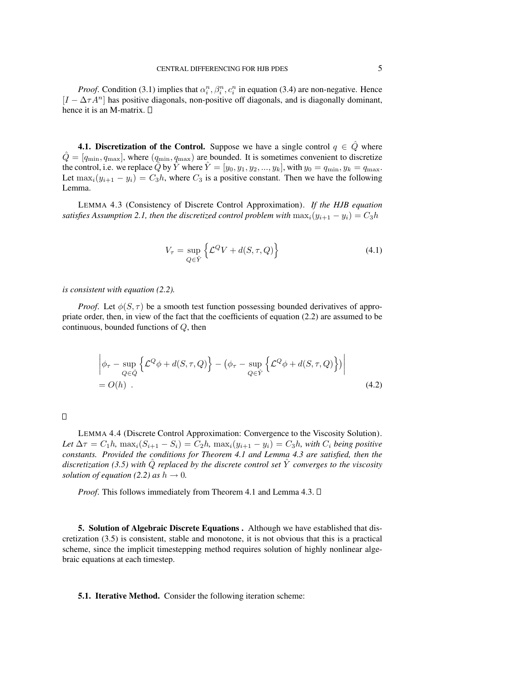*Proof.* Condition (3.1) implies that  $\alpha_i^n, \beta_i^n, c_i^n$  in equation (3.4) are non-negative. Hence  $[I - \Delta \tau A^n]$  has positive diagonals, non-positive off diagonals, and is diagonally dominant, hence it is an M-matrix.  $\square$ 

**4.1. Discretization of the Control.** Suppose we have a single control  $q \in \hat{Q}$  where  $\hat{Q} = [q_{\min}, q_{\max}]$ , where  $(q_{\min}, q_{\max})$  are bounded. It is sometimes convenient to discretize the control, i.e. we replace  $\hat{Q}$  by  $\hat{Y}$  where  $\hat{Y} = [y_0, y_1, y_2, ..., y_k]$ , with  $y_0 = q_{\min}, y_k = q_{\max}$ . Let  $\max_i(y_{i+1} - y_i) = C_3 h$ , where  $C_3$  is a positive constant. Then we have the following Lemma.

LEMMA 4.3 (Consistency of Discrete Control Approximation). *If the HJB equation satisfies Assumption 2.1, then the discretized control problem with*  $\max_i(y_{i+1} - y_i) = C_3h$ 

$$
V_{\tau} = \sup_{Q \in \hat{Y}} \left\{ \mathcal{L}^{Q} V + d(S, \tau, Q) \right\} \tag{4.1}
$$

*is consistent with equation (2.2).*

*Proof.* Let  $\phi(S, \tau)$  be a smooth test function possessing bounded derivatives of appropriate order, then, in view of the fact that the coefficients of equation (2.2) are assumed to be continuous, bounded functions of Q, then

$$
\left| \phi_{\tau} - \sup_{Q \in \hat{Q}} \left\{ \mathcal{L}^{Q} \phi + d(S, \tau, Q) \right\} - \left( \phi_{\tau} - \sup_{Q \in \hat{Y}} \left\{ \mathcal{L}^{Q} \phi + d(S, \tau, Q) \right\} \right) \right|
$$
\n
$$
= O(h) \quad .
$$
\n(4.2)

LEMMA 4.4 (Discrete Control Approximation: Convergence to the Viscosity Solution). Let  $\Delta \tau = C_1 h$ ,  $\max_i (S_{i+1} - S_i) = C_2 h$ ,  $\max_i (y_{i+1} - y_i) = C_3 h$ , with  $C_i$  being positive *constants. Provided the conditions for Theorem 4.1 and Lemma 4.3 are satisfied, then the discretization (3.5) with*  $\ddot{Q}$  *replaced by the discrete control set*  $\hat{Y}$  *converges to the viscosity solution of equation (2.2) as*  $h \rightarrow 0$ .

*Proof.* This follows immediately from Theorem 4.1 and Lemma 4.3.  $\Box$ 

5. Solution of Algebraic Discrete Equations . Although we have established that discretization (3.5) is consistent, stable and monotone, it is not obvious that this is a practical scheme, since the implicit timestepping method requires solution of highly nonlinear algebraic equations at each timestep.

## 5.1. Iterative Method. Consider the following iteration scheme: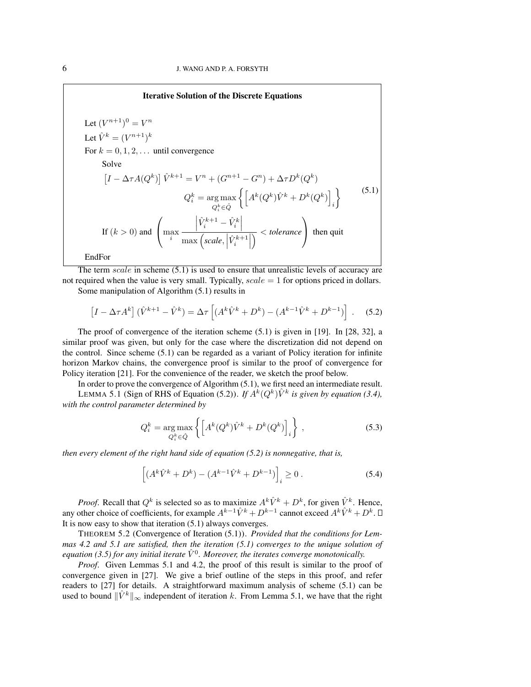Iterative Solution of the Discrete Equations Let  $(V^{n+1})^0 = V^n$ Let  $\hat{V}^k = (V^{n+1})^k$ For  $k = 0, 1, 2, \ldots$  until convergence Solve  $[I - \Delta \tau A(Q^k)] \hat{V}^{k+1} = V^n + (G^{n+1} - G^n) + \Delta \tau D^k(Q^k)$  $Q_i^k = \argmax_{Q_i^k \in \hat{Q}}$  $\left\{ \left[ A^{k}(Q^{k})\hat{V}^{k}+D^{k}(Q^{k})\right] \right\}$ i  $\mathcal{L}$ If  $(k > 0)$  and  $\sqrt{ }$ max i  $\left| \hat{V}_i^{k+1} - \hat{V}_i^{k} \right|$  $\max\left(scale, \left|\hat{V}_i^{k+1}\right|\right)$  <sup>&</sup>lt; *tolerance*  $\setminus$  then quit EndFor  $(5.1)$ 

The term scale in scheme  $(5.1)$  is used to ensure that unrealistic levels of accuracy are not required when the value is very small. Typically,  $scale = 1$  for options priced in dollars.

Some manipulation of Algorithm (5.1) results in

$$
\left[I - \Delta \tau A^k\right](\hat{V}^{k+1} - \hat{V}^k) = \Delta \tau \left[ (A^k \hat{V}^k + D^k) - (A^{k-1} \hat{V}^k + D^{k-1}) \right].
$$
 (5.2)

The proof of convergence of the iteration scheme  $(5.1)$  is given in [19]. In [28, 32], a similar proof was given, but only for the case where the discretization did not depend on the control. Since scheme (5.1) can be regarded as a variant of Policy iteration for infinite horizon Markov chains, the convergence proof is similar to the proof of convergence for Policy iteration [21]. For the convenience of the reader, we sketch the proof below.

In order to prove the convergence of Algorithm (5.1), we first need an intermediate result.

LEMMA 5.1 (Sign of RHS of Equation (5.2)). *If*  $A^k(Q^k) \hat{V}^k$  is given by equation (3.4), *with the control parameter determined by*

$$
Q_i^k = \underset{Q_i^k \in \hat{Q}}{\arg \max} \left\{ \left[ A^k(Q^k) \hat{V}^k + D^k(Q^k) \right]_i \right\},\tag{5.3}
$$

*then every element of the right hand side of equation (5.2) is nonnegative, that is,*

$$
\[ (A^k \hat{V}^k + D^k) - (A^{k-1} \hat{V}^k + D^{k-1}) \]_i \ge 0 \,. \tag{5.4}
$$

*Proof.* Recall that  $Q^k$  is selected so as to maximize  $A^k \hat{V}^k + D^k$ , for given  $\hat{V}^k$ . Hence, any other choice of coefficients, for example  $A^{k-1}\hat{V}^k + D^{k-1}$  cannot exceed  $A^k\hat{V}^k + D^k$ . It is now easy to show that iteration (5.1) always converges.

THEOREM 5.2 (Convergence of Iteration (5.1)). *Provided that the conditions for Lemmas 4.2 and 5.1 are satisfied, then the iteration (5.1) converges to the unique solution of* equation (3.5) for any initial iterate  $\hat{V}^0$ . Moreover, the iterates converge monotonically.

*Proof*. Given Lemmas 5.1 and 4.2, the proof of this result is similar to the proof of convergence given in [27]. We give a brief outline of the steps in this proof, and refer readers to [27] for details. A straightforward maximum analysis of scheme (5.1) can be used to bound  $\|\hat{V}^k\|_{\infty}$  independent of iteration k. From Lemma 5.1, we have that the right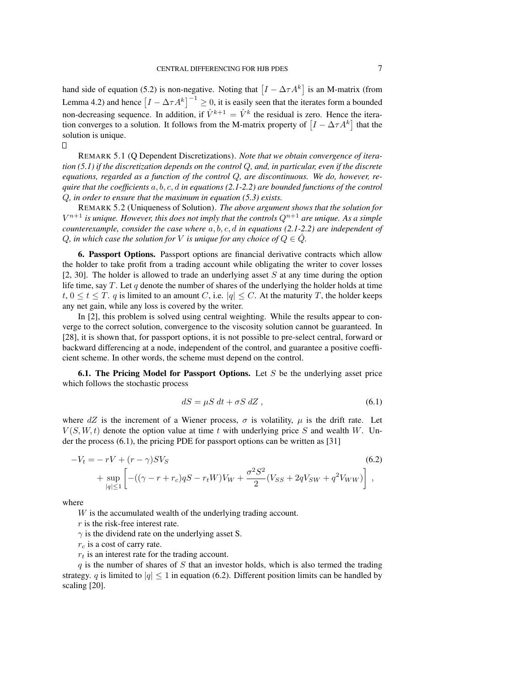hand side of equation (5.2) is non-negative. Noting that  $[I - \Delta \tau A^k]$  is an M-matrix (from Lemma 4.2) and hence  $[I - \Delta \tau A^k]^{-1} \ge 0$ , it is easily seen that the iterates form a bounded non-decreasing sequence. In addition, if  $\hat{V}^{k+1} = \hat{V}^k$  the residual is zero. Hence the iteration converges to a solution. It follows from the M-matrix property of  $[I - \Delta \tau A^k]$  that the solution is unique.

О

REMARK 5.1 (Q Dependent Discretizations). *Note that we obtain convergence of iteration (5.1) if the discretization depends on the control* Q*, and, in particular, even if the discrete equations, regarded as a function of the control* Q*, are discontinuous. We do, however, require that the coefficients* a, b, c, d *in equations (2.1-2.2) are bounded functions of the control* Q*, in order to ensure that the maximum in equation (5.3) exists.*

REMARK 5.2 (Uniqueness of Solution). *The above argument shows that the solution for*  $V^{n+1}$  is unique. However, this does not imply that the controls  $Q^{n+1}$  are unique. As a simple *counterexample, consider the case where* a, b, c, d *in equations (2.1-2.2) are independent of* Q, in which case the solution for V is unique for any choice of  $Q \in \hat{Q}$ .

6. Passport Options. Passport options are financial derivative contracts which allow the holder to take profit from a trading account while obligating the writer to cover losses [2, 30]. The holder is allowed to trade an underlying asset  $S$  at any time during the option life time, say  $T$ . Let  $q$  denote the number of shares of the underlying the holder holds at time  $t, 0 \le t \le T$ . q is limited to an amount C, i.e.  $|q| \le C$ . At the maturity T, the holder keeps any net gain, while any loss is covered by the writer.

In [2], this problem is solved using central weighting. While the results appear to converge to the correct solution, convergence to the viscosity solution cannot be guaranteed. In [28], it is shown that, for passport options, it is not possible to pre-select central, forward or backward differencing at a node, independent of the control, and guarantee a positive coefficient scheme. In other words, the scheme must depend on the control.

**6.1. The Pricing Model for Passport Options.** Let S be the underlying asset price which follows the stochastic process

$$
dS = \mu S \, dt + \sigma S \, dZ \,,\tag{6.1}
$$

where  $dZ$  is the increment of a Wiener process,  $\sigma$  is volatility,  $\mu$  is the drift rate. Let  $V(S, W, t)$  denote the option value at time t with underlying price S and wealth W. Under the process (6.1), the pricing PDE for passport options can be written as [31]

$$
-V_t = -rV + (r - \gamma)SV_S
$$
\n
$$
+ \sup_{|q| \le 1} \left[ -((\gamma - r + r_c)qS - r_tW)V_W + \frac{\sigma^2 S^2}{2} (V_{SS} + 2qV_{SW} + q^2 V_{WW}) \right],
$$
\n(6.2)

where

W is the accumulated wealth of the underlying trading account.

 $r$  is the risk-free interest rate.

 $\gamma$  is the dividend rate on the underlying asset S.

 $r_c$  is a cost of carry rate.

 $r_t$  is an interest rate for the trading account.

q is the number of shares of S that an investor holds, which is also termed the trading strategy. q is limited to  $|q| \leq 1$  in equation (6.2). Different position limits can be handled by scaling [20].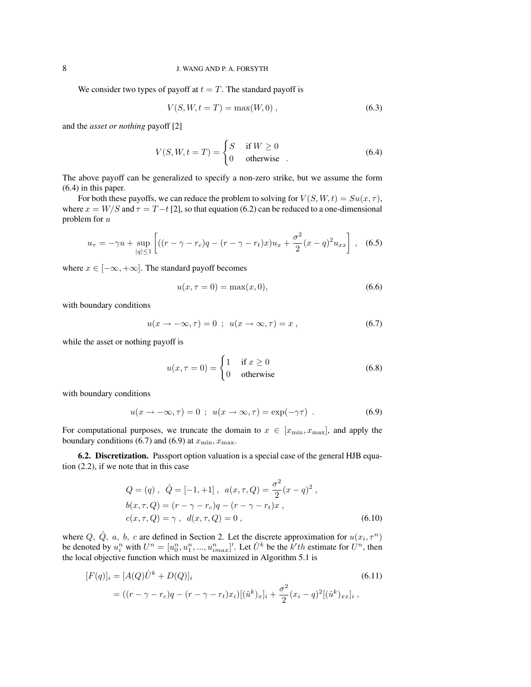## 8 J. WANG AND P. A. FORSYTH

We consider two types of payoff at  $t = T$ . The standard payoff is

$$
V(S, W, t = T) = \max(W, 0), \qquad (6.3)
$$

and the *asset or nothing* payoff [2]

$$
V(S, W, t = T) = \begin{cases} S & \text{if } W \ge 0 \\ 0 & \text{otherwise} \end{cases}
$$
 (6.4)

The above payoff can be generalized to specify a non-zero strike, but we assume the form (6.4) in this paper.

For both these payoffs, we can reduce the problem to solving for  $V(S, W, t) = S u(x, \tau)$ , where  $x = W/S$  and  $\tau = T-t$  [2], so that equation (6.2) can be reduced to a one-dimensional problem for u

$$
u_{\tau} = -\gamma u + \sup_{|q| \le 1} \left[ ((r - \gamma - r_c)q - (r - \gamma - r_t)x)u_x + \frac{\sigma^2}{2}(x - q)^2 u_{xx} \right], \quad (6.5)
$$

where  $x \in [-\infty, +\infty]$ . The standard payoff becomes

$$
u(x, \tau = 0) = \max(x, 0), \tag{6.6}
$$

with boundary conditions

$$
u(x \to -\infty, \tau) = 0 \ ; \ u(x \to \infty, \tau) = x \ , \tag{6.7}
$$

while the asset or nothing payoff is

$$
u(x, \tau = 0) = \begin{cases} 1 & \text{if } x \ge 0 \\ 0 & \text{otherwise} \end{cases}
$$
 (6.8)

with boundary conditions

$$
u(x \to -\infty, \tau) = 0 \; ; \; u(x \to \infty, \tau) = \exp(-\gamma \tau) \; . \tag{6.9}
$$

For computational purposes, we truncate the domain to  $x \in [x_{\min}, x_{\max}]$ , and apply the boundary conditions (6.7) and (6.9) at  $x_{\min}$ ,  $x_{\max}$ .

6.2. Discretization. Passport option valuation is a special case of the general HJB equation (2.2), if we note that in this case

$$
Q = (q), \ \hat{Q} = [-1, +1], \ a(x, \tau, Q) = \frac{\sigma^2}{2}(x - q)^2,
$$
  
\n
$$
b(x, \tau, Q) = (r - \gamma - r_c)q - (r - \gamma - r_t)x,
$$
  
\n
$$
c(x, \tau, Q) = \gamma, \ d(x, \tau, Q) = 0,
$$
\n(6.10)

where Q,  $\hat{Q}$ , a, b, c are defined in Section 2. Let the discrete approximation for  $u(x_i, \tau^n)$ be denoted by  $u_i^n$  with  $U^n = [u_0^n, u_1^n, ..., u_{imax}^n]'$ . Let  $\hat{U}^k$  be the  $\hat{k'}$ th estimate for  $U^n$ , then the local objective function which must be maximized in Algorithm 5.1 is

$$
[F(q)]_i = [A(Q)\hat{U}^k + D(Q)]_i
$$
\n
$$
= ((r - \gamma - r_c)q - (r - \gamma - r_t)x_i)[(\hat{u}^k)_x]_i + \frac{\sigma^2}{2}(x_i - q)^2 [(\hat{u}^k)_{xx}]_i,
$$
\n(6.11)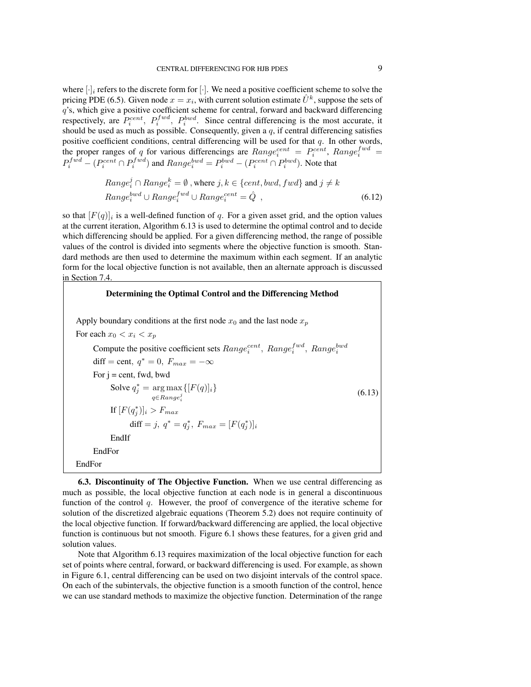where  $[\cdot]_i$  refers to the discrete form for  $[\cdot]$ . We need a positive coefficient scheme to solve the pricing PDE (6.5). Given node  $x = x_i$ , with current solution estimate  $\hat{U}^k$ , suppose the sets of q's, which give a positive coefficient scheme for central, forward and backward differencing respectively, are  $P_i^{cent}$ ,  $P_i^{fwd}$ ,  $P_i^{bwd}$ . Since central differencing is the most accurate, it should be used as much as possible. Consequently, given a  $q$ , if central differencing satisfies positive coefficient conditions, central differencing will be used for that  $q$ . In other words, the proper ranges of q for various differencings are  $Range_i^{cent} = P_i^{cent}$ ,  $Range_i^{fwd} =$  $P_i^{fwd} - (P_i^{cent} \cap P_i^{fwd})$  and  $Range_i^{bwd} = P_i^{bwd} - (P_i^{cent} \cap P_i^{bwd})$ . Note that

$$
Range_i^j \cap Range_i^k = \emptyset, \text{ where } j, k \in \{cent, bwd, fwd\} \text{ and } j \neq k
$$
  

$$
Range_i^{bwd} \cup Range_i^{fwd} \cup Range_i^{cent} = \hat{Q}, \qquad (6.12)
$$

so that  $[F(q)]_i$  is a well-defined function of q. For a given asset grid, and the option values at the current iteration, Algorithm 6.13 is used to determine the optimal control and to decide which differencing should be applied. For a given differencing method, the range of possible values of the control is divided into segments where the objective function is smooth. Standard methods are then used to determine the maximum within each segment. If an analytic form for the local objective function is not available, then an alternate approach is discussed in Section 7.4.



6.3. Discontinuity of The Objective Function. When we use central differencing as much as possible, the local objective function at each node is in general a discontinuous function of the control q. However, the proof of convergence of the iterative scheme for solution of the discretized algebraic equations (Theorem 5.2) does not require continuity of the local objective function. If forward/backward differencing are applied, the local objective function is continuous but not smooth. Figure 6.1 shows these features, for a given grid and solution values.

Note that Algorithm 6.13 requires maximization of the local objective function for each set of points where central, forward, or backward differencing is used. For example, as shown in Figure 6.1, central differencing can be used on two disjoint intervals of the control space. On each of the subintervals, the objective function is a smooth function of the control, hence we can use standard methods to maximize the objective function. Determination of the range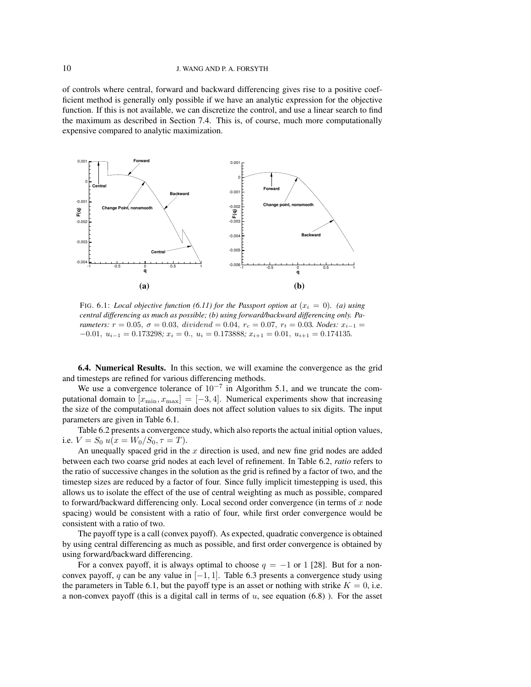of controls where central, forward and backward differencing gives rise to a positive coefficient method is generally only possible if we have an analytic expression for the objective function. If this is not available, we can discretize the control, and use a linear search to find the maximum as described in Section 7.4. This is, of course, much more computationally expensive compared to analytic maximization.



FIG. 6.1: *Local objective function* (6.11) for the Passport option at  $(x<sub>i</sub> = 0)$ . (a) using *central differencing as much as possible; (b) using forward/backward differencing only. Parameters:*  $r = 0.05$ ,  $\sigma = 0.03$ , dividend = 0.04,  $r_c = 0.07$ ,  $r_t = 0.03$ *. Nodes:*  $x_{i-1} =$  $-0.01, u_{i-1} = 0.173298; x_i = 0., u_i = 0.173888; x_{i+1} = 0.01, u_{i+1} = 0.174135.$ 

6.4. Numerical Results. In this section, we will examine the convergence as the grid and timesteps are refined for various differencing methods.

We use a convergence tolerance of  $10^{-7}$  in Algorithm 5.1, and we truncate the computational domain to  $[x_{\min}, x_{\max}] = [-3, 4]$ . Numerical experiments show that increasing the size of the computational domain does not affect solution values to six digits. The input parameters are given in Table 6.1.

Table 6.2 presents a convergence study, which also reports the actual initial option values, i.e.  $V = S_0 u(x = W_0/S_0, \tau = T)$ .

An unequally spaced grid in the  $x$  direction is used, and new fine grid nodes are added between each two coarse grid nodes at each level of refinement. In Table 6.2, *ratio* refers to the ratio of successive changes in the solution as the grid is refined by a factor of two, and the timestep sizes are reduced by a factor of four. Since fully implicit timestepping is used, this allows us to isolate the effect of the use of central weighting as much as possible, compared to forward/backward differencing only. Local second order convergence (in terms of  $x$  node spacing) would be consistent with a ratio of four, while first order convergence would be consistent with a ratio of two.

The payoff type is a call (convex payoff). As expected, quadratic convergence is obtained by using central differencing as much as possible, and first order convergence is obtained by using forward/backward differencing.

For a convex payoff, it is always optimal to choose  $q = -1$  or 1 [28]. But for a nonconvex payoff, q can be any value in  $[-1, 1]$ . Table 6.3 presents a convergence study using the parameters in Table 6.1, but the payoff type is an asset or nothing with strike  $K = 0$ , i.e. a non-convex payoff (this is a digital call in terms of  $u$ , see equation (6.8)). For the asset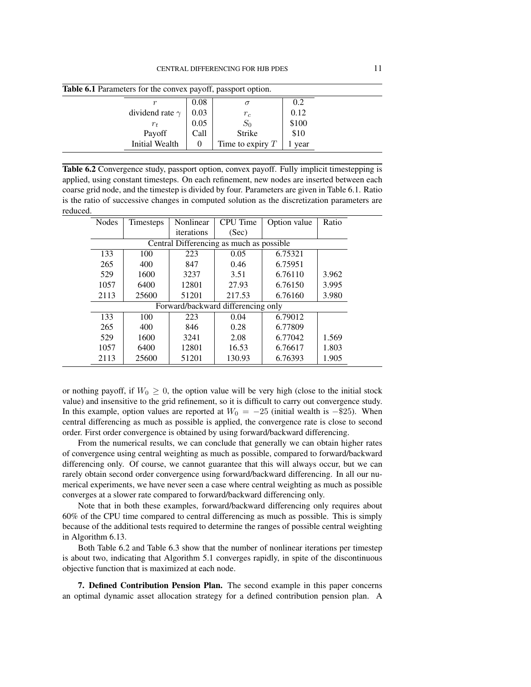| $\epsilon$ 0.1 r arameters for the convex payon, passport option. |                        |      |                    |       |  |  |
|-------------------------------------------------------------------|------------------------|------|--------------------|-------|--|--|
|                                                                   |                        | 0.08 |                    | 0.2   |  |  |
|                                                                   | dividend rate $\gamma$ | 0.03 | $r_c$              | 0.12  |  |  |
|                                                                   | $r_{t}$                | 0.05 |                    | \$100 |  |  |
|                                                                   | Payoff                 | Call | Strike             | \$10  |  |  |
|                                                                   | Initial Wealth         |      | Time to expiry $T$ | year  |  |  |
|                                                                   |                        |      | $S_0$              |       |  |  |

Table 6.1 Parameters for the convex payoff, passport option.

Table 6.2 Convergence study, passport option, convex payoff. Fully implicit timestepping is applied, using constant timesteps. On each refinement, new nodes are inserted between each coarse grid node, and the timestep is divided by four. Parameters are given in Table 6.1. Ratio is the ratio of successive changes in computed solution as the discretization parameters are reduced.

| <b>Nodes</b>                             | Timesteps | Nonlinear  | <b>CPU</b> Time                    | Option value | Ratio |
|------------------------------------------|-----------|------------|------------------------------------|--------------|-------|
|                                          |           | iterations | (Sec)                              |              |       |
| Central Differencing as much as possible |           |            |                                    |              |       |
| 133                                      | 100       | 223        | 0.05                               | 6.75321      |       |
| 265                                      | 400       | 847        | 0.46                               | 6.75951      |       |
| 529                                      | 1600      | 3237       | 3.51                               | 6.76110      | 3.962 |
| 1057                                     | 6400      | 12801      | 27.93                              | 6.76150      | 3.995 |
| 2113                                     | 25600     | 51201      | 217.53                             | 6.76160      | 3.980 |
|                                          |           |            | Forward/backward differencing only |              |       |
| 133                                      | 100       | 223        | 0.04                               | 6.79012      |       |
| 265                                      | 400       | 846        | 0.28                               | 6.77809      |       |
| 529                                      | 1600      | 3241       | 2.08                               | 6.77042      | 1.569 |
| 1057                                     | 6400      | 12801      | 16.53                              | 6.76617      | 1.803 |
| 2113                                     | 25600     | 51201      | 130.93                             | 6.76393      | 1.905 |

or nothing payoff, if  $W_0 \geq 0$ , the option value will be very high (close to the initial stock value) and insensitive to the grid refinement, so it is difficult to carry out convergence study. In this example, option values are reported at  $W_0 = -25$  (initial wealth is -\$25). When central differencing as much as possible is applied, the convergence rate is close to second order. First order convergence is obtained by using forward/backward differencing.

From the numerical results, we can conclude that generally we can obtain higher rates of convergence using central weighting as much as possible, compared to forward/backward differencing only. Of course, we cannot guarantee that this will always occur, but we can rarely obtain second order convergence using forward/backward differencing. In all our numerical experiments, we have never seen a case where central weighting as much as possible converges at a slower rate compared to forward/backward differencing only.

Note that in both these examples, forward/backward differencing only requires about 60% of the CPU time compared to central differencing as much as possible. This is simply because of the additional tests required to determine the ranges of possible central weighting in Algorithm 6.13.

Both Table 6.2 and Table 6.3 show that the number of nonlinear iterations per timestep is about two, indicating that Algorithm 5.1 converges rapidly, in spite of the discontinuous objective function that is maximized at each node.

7. Defined Contribution Pension Plan. The second example in this paper concerns an optimal dynamic asset allocation strategy for a defined contribution pension plan. A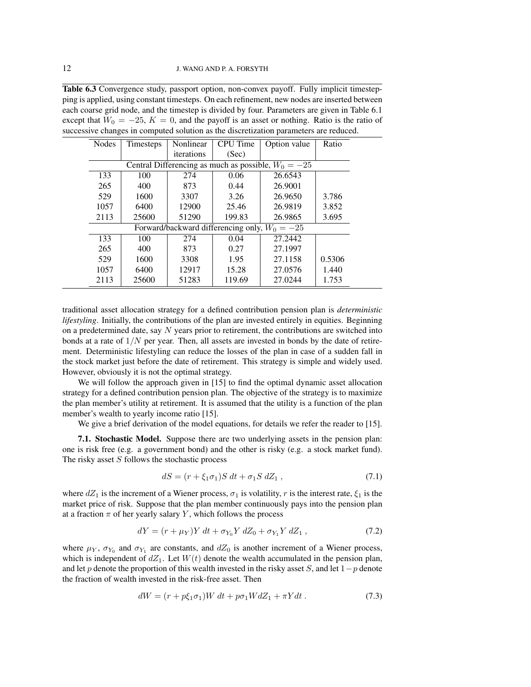Table 6.3 Convergence study, passport option, non-convex payoff. Fully implicit timestepping is applied, using constant timesteps. On each refinement, new nodes are inserted between each coarse grid node, and the timestep is divided by four. Parameters are given in Table 6.1 except that  $W_0 = -25$ ,  $K = 0$ , and the payoff is an asset or nothing. Ratio is the ratio of successive changes in computed solution as the discretization parameters are reduced.

| <b>Nodes</b>                                          | Timesteps | Nonlinear  | <b>CPU</b> Time                                 | Option value | Ratio  |
|-------------------------------------------------------|-----------|------------|-------------------------------------------------|--------------|--------|
|                                                       |           | iterations | (Sec)                                           |              |        |
| Central Differencing as much as possible, $W_0 = -25$ |           |            |                                                 |              |        |
| 133                                                   | 100       | 274        | 0.06                                            | 26.6543      |        |
| 265                                                   | 400       | 873        | 0.44                                            | 26.9001      |        |
| 529                                                   | 1600      | 3307       | 3.26                                            | 26.9650      | 3.786  |
| 1057                                                  | 6400      | 12900      | 25.46                                           | 26.9819      | 3.852  |
| 2113                                                  | 25600     | 51290      | 199.83                                          | 26.9865      | 3.695  |
|                                                       |           |            | Forward/backward differencing only, $W_0 = -25$ |              |        |
| 133                                                   | 100       | 274        | 0.04                                            | 27.2442      |        |
| 265                                                   | 400       | 873        | 0.27                                            | 27.1997      |        |
| 529                                                   | 1600      | 3308       | 1.95                                            | 27.1158      | 0.5306 |
| 1057                                                  | 6400      | 12917      | 15.28                                           | 27.0576      | 1.440  |
| 2113                                                  | 25600     | 51283      | 119.69                                          | 27.0244      | 1.753  |

traditional asset allocation strategy for a defined contribution pension plan is *deterministic lifestyling*. Initially, the contributions of the plan are invested entirely in equities. Beginning on a predetermined date, say  $N$  years prior to retirement, the contributions are switched into bonds at a rate of  $1/N$  per year. Then, all assets are invested in bonds by the date of retirement. Deterministic lifestyling can reduce the losses of the plan in case of a sudden fall in the stock market just before the date of retirement. This strategy is simple and widely used. However, obviously it is not the optimal strategy.

We will follow the approach given in [15] to find the optimal dynamic asset allocation strategy for a defined contribution pension plan. The objective of the strategy is to maximize the plan member's utility at retirement. It is assumed that the utility is a function of the plan member's wealth to yearly income ratio [15].

We give a brief derivation of the model equations, for details we refer the reader to [15].

7.1. Stochastic Model. Suppose there are two underlying assets in the pension plan: one is risk free (e.g. a government bond) and the other is risky (e.g. a stock market fund). The risky asset  $S$  follows the stochastic process

$$
dS = (r + \xi_1 \sigma_1) S dt + \sigma_1 S dZ_1 , \qquad (7.1)
$$

where  $dZ_1$  is the increment of a Wiener process,  $\sigma_1$  is volatility, r is the interest rate,  $\xi_1$  is the market price of risk. Suppose that the plan member continuously pays into the pension plan at a fraction  $\pi$  of her yearly salary Y, which follows the process

$$
dY = (r + \mu_Y)Y dt + \sigma_{Y_0} Y dZ_0 + \sigma_{Y_1} Y dZ_1 , \qquad (7.2)
$$

where  $\mu_Y$ ,  $\sigma_{Y_0}$  and  $\sigma_{Y_1}$  are constants, and  $dZ_0$  is another increment of a Wiener process, which is independent of  $dZ_1$ . Let  $W(t)$  denote the wealth accumulated in the pension plan, and let p denote the proportion of this wealth invested in the risky asset S, and let  $1-p$  denote the fraction of wealth invested in the risk-free asset. Then

$$
dW = (r + p\xi_1\sigma_1)W dt + p\sigma_1 W dZ_1 + \pi Y dt.
$$
\n
$$
(7.3)
$$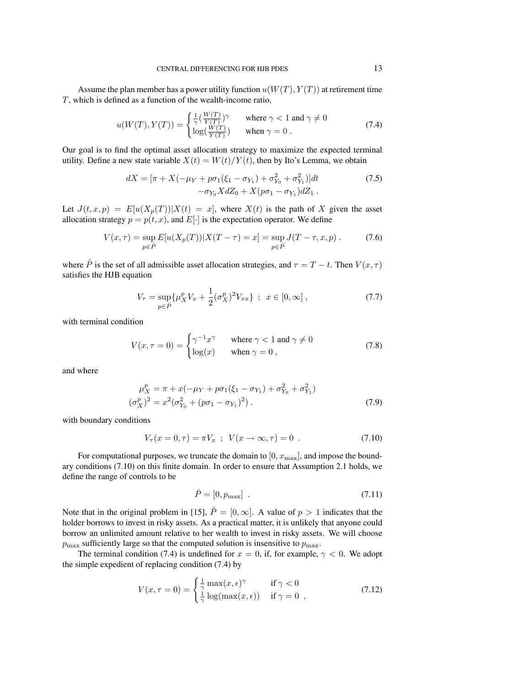Assume the plan member has a power utility function  $u(W(T), Y(T))$  at retirement time T, which is defined as a function of the wealth-income ratio,

$$
u(W(T), Y(T)) = \begin{cases} \frac{1}{\gamma} (\frac{W(T)}{Y(T)})^{\gamma} & \text{where } \gamma < 1 \text{ and } \gamma \neq 0\\ \log(\frac{W(T)}{Y(T)}) & \text{when } \gamma = 0 \,. \end{cases}
$$
(7.4)

Our goal is to find the optimal asset allocation strategy to maximize the expected terminal utility. Define a new state variable  $X(t) = W(t)/Y(t)$ , then by Ito's Lemma, we obtain

$$
dX = [\pi + X(-\mu_Y + p\sigma_1(\xi_1 - \sigma_{Y_1}) + \sigma_{Y_0}^2 + \sigma_{Y_1}^2)]dt
$$
  
-
$$
\sigma_{Y_0} X dZ_0 + X(p\sigma_1 - \sigma_{Y_1}) dZ_1.
$$
 (7.5)

Let  $J(t, x, p) = E[u(X_p(T))|X(t) = x]$ , where  $X(t)$  is the path of X given the asset allocation strategy  $p = p(t, x)$ , and  $E[\cdot]$  is the expectation operator. We define

$$
V(x,\tau) = \sup_{p \in \hat{P}} E[u(X_p(T))|X(T-\tau) = x] = \sup_{p \in \hat{P}} J(T-\tau, x, p).
$$
 (7.6)

where  $\hat{P}$  is the set of all admissible asset allocation strategies, and  $\tau = T - t$ . Then  $V(x, \tau)$ satisfies the HJB equation

$$
V_{\tau} = \sup_{p \in \hat{P}} \{ \mu_X^p V_x + \frac{1}{2} (\sigma_X^p)^2 V_{xx} \} ; \quad x \in [0, \infty] ,
$$
 (7.7)

with terminal condition

$$
V(x, \tau = 0) = \begin{cases} \gamma^{-1} x^{\gamma} & \text{where } \gamma < 1 \text{ and } \gamma \neq 0\\ \log(x) & \text{when } \gamma = 0 \end{cases}
$$
 (7.8)

and where

$$
\mu_X^p = \pi + x(-\mu_Y + p\sigma_1(\xi_1 - \sigma_{Y_1}) + \sigma_{Y_0}^2 + \sigma_{Y_1}^2)
$$
  

$$
(\sigma_X^p)^2 = x^2(\sigma_{Y_0}^2 + (p\sigma_1 - \sigma_{Y_1})^2).
$$
 (7.9)

with boundary conditions

 $\overline{(}$ 

$$
V_{\tau}(x = 0, \tau) = \pi V_x \; ; \; V(x \to \infty, \tau) = 0 \; . \tag{7.10}
$$

For computational purposes, we truncate the domain to  $[0, x_{\text{max}}]$ , and impose the boundary conditions (7.10) on this finite domain. In order to ensure that Assumption 2.1 holds, we define the range of controls to be

$$
\hat{P} = [0, p_{\text{max}}] \tag{7.11}
$$

Note that in the original problem in [15],  $\hat{P} = [0, \infty]$ . A value of  $p > 1$  indicates that the holder borrows to invest in risky assets. As a practical matter, it is unlikely that anyone could borrow an unlimited amount relative to her wealth to invest in risky assets. We will choose  $p_{\text{max}}$  sufficiently large so that the computed solution is insensitive to  $p_{\text{max}}$ .

The terminal condition (7.4) is undefined for  $x = 0$ , if, for example,  $\gamma < 0$ . We adopt the simple expedient of replacing condition (7.4) by

$$
V(x, \tau = 0) = \begin{cases} \frac{1}{\gamma} \max(x, \epsilon)^{\gamma} & \text{if } \gamma < 0\\ \frac{1}{\gamma} \log(\max(x, \epsilon)) & \text{if } \gamma = 0 \end{cases}
$$
 (7.12)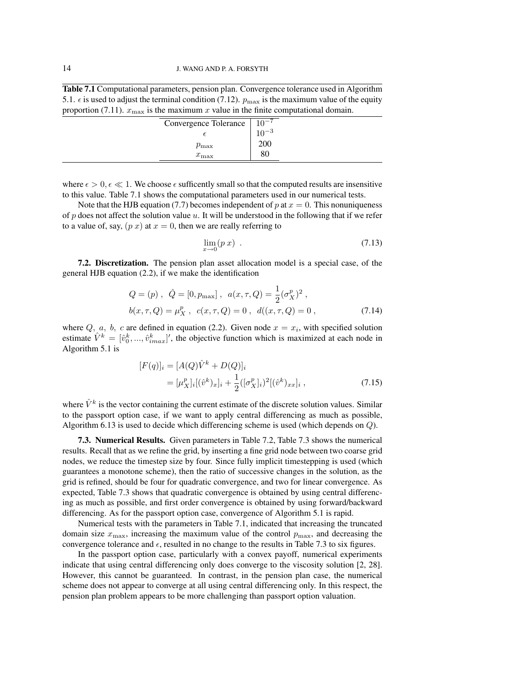Table 7.1 Computational parameters, pension plan. Convergence tolerance used in Algorithm 5.1.  $\epsilon$  is used to adjust the terminal condition (7.12).  $p_{\text{max}}$  is the maximum value of the equity proportion (7.11).  $x_{\text{max}}$  is the maximum x value in the finite computational domain.

|  |  | $\cdots$ |                       |           |
|--|--|----------|-----------------------|-----------|
|  |  |          | Convergence Tolerance | $10^{-7}$ |
|  |  |          |                       | $10^{-3}$ |
|  |  |          | $p_{\rm max}$         | 200       |
|  |  |          | $x_{\max}$            | 80        |
|  |  |          |                       |           |

where  $\epsilon > 0, \epsilon \ll 1$ . We choose  $\epsilon$  sufficently small so that the computed results are insensitive to this value. Table 7.1 shows the computational parameters used in our numerical tests.

Note that the HJB equation (7.7) becomes independent of p at  $x = 0$ . This nonuniqueness of  $p$  does not affect the solution value  $u$ . It will be understood in the following that if we refer to a value of, say,  $(p x)$  at  $x = 0$ , then we are really referring to

$$
\lim_{x \to 0} (p \, x) \tag{7.13}
$$

7.2. Discretization. The pension plan asset allocation model is a special case, of the general HJB equation (2.2), if we make the identification

$$
Q = (p), \ \hat{Q} = [0, p_{\text{max}}], \ a(x, \tau, Q) = \frac{1}{2} (\sigma_X^p)^2 ,
$$
  

$$
b(x, \tau, Q) = \mu_X^p, \ c(x, \tau, Q) = 0, \ d((x, \tau, Q) = 0, \tag{7.14}
$$

where  $Q$ ,  $a$ ,  $b$ ,  $c$  are defined in equation (2.2). Given node  $x = x_i$ , with specified solution estimate  $\hat{V}^k = [\hat{v}_0^k, ..., \hat{v}_{imax}^k]'$ , the objective function which is maximized at each node in Algorithm 5.1 is

$$
[F(q)]_i = [A(Q)\hat{V}^k + D(Q)]_i
$$
  
=  $[\mu_X^p]_i [(\hat{v}^k)_x]_i + \frac{1}{2} ([\sigma_X^p]_i)^2 [(\hat{v}^k)_{xx}]_i ,$  (7.15)

where  $\hat{V}^k$  is the vector containing the current estimate of the discrete solution values. Similar to the passport option case, if we want to apply central differencing as much as possible, Algorithm 6.13 is used to decide which differencing scheme is used (which depends on Q).

7.3. Numerical Results. Given parameters in Table 7.2, Table 7.3 shows the numerical results. Recall that as we refine the grid, by inserting a fine grid node between two coarse grid nodes, we reduce the timestep size by four. Since fully implicit timestepping is used (which guarantees a monotone scheme), then the ratio of successive changes in the solution, as the grid is refined, should be four for quadratic convergence, and two for linear convergence. As expected, Table 7.3 shows that quadratic convergence is obtained by using central differencing as much as possible, and first order convergence is obtained by using forward/backward differencing. As for the passport option case, convergence of Algorithm 5.1 is rapid.

Numerical tests with the parameters in Table 7.1, indicated that increasing the truncated domain size  $x_{\text{max}}$ , increasing the maximum value of the control  $p_{\text{max}}$ , and decreasing the convergence tolerance and  $\epsilon$ , resulted in no change to the results in Table 7.3 to six figures.

In the passport option case, particularly with a convex payoff, numerical experiments indicate that using central differencing only does converge to the viscosity solution [2, 28]. However, this cannot be guaranteed. In contrast, in the pension plan case, the numerical scheme does not appear to converge at all using central differencing only. In this respect, the pension plan problem appears to be more challenging than passport option valuation.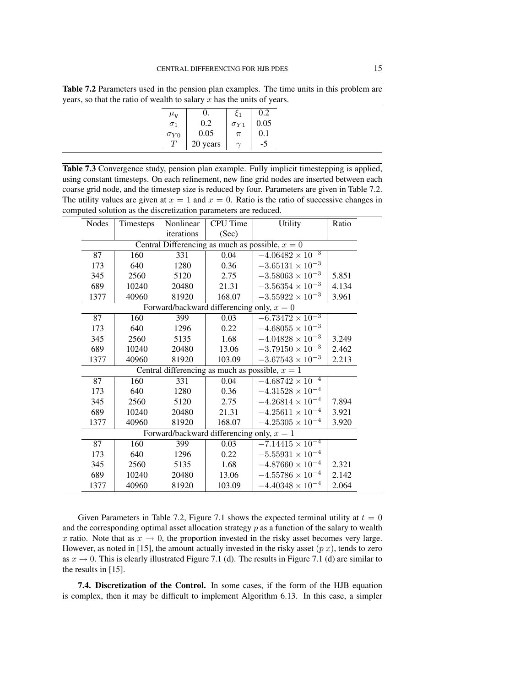Table 7.2 Parameters used in the pension plan examples. The time units in this problem are years, so that the ratio of wealth to salary  $x$  has the units of years.

| $\mu_y$       | $\Omega$ . | 2ع            | 0.2  |
|---------------|------------|---------------|------|
| $\sigma_1$    | 0.2        | $\sigma_{Y1}$ | 0.05 |
| $\sigma_{Y0}$ | 0.05       | $\pi$         | 0.1  |
|               | 20 years   |               |      |
|               |            |               |      |

Table 7.3 Convergence study, pension plan example. Fully implicit timestepping is applied, using constant timesteps. On each refinement, new fine grid nodes are inserted between each coarse grid node, and the timestep size is reduced by four. Parameters are given in Table 7.2. The utility values are given at  $x = 1$  and  $x = 0$ . Ratio is the ratio of successive changes in computed solution as the discretization parameters are reduced.

| <b>Nodes</b>                                      | Timesteps | Nonlinear  | CPU Time                                    | Utility                                           | Ratio |  |  |
|---------------------------------------------------|-----------|------------|---------------------------------------------|---------------------------------------------------|-------|--|--|
|                                                   |           | iterations | (Sec)                                       |                                                   |       |  |  |
| Central Differencing as much as possible, $x = 0$ |           |            |                                             |                                                   |       |  |  |
| 87                                                | 160       | 331        | 0.04                                        | $-4.06482 \times 10^{-3}$                         |       |  |  |
| 173                                               | 640       | 1280       | 0.36                                        | $-3.65131 \times 10^{-3}$                         |       |  |  |
| 345                                               | 2560      | 5120       | 2.75                                        | $-3.58063 \times 10^{-3}$                         | 5.851 |  |  |
| 689                                               | 10240     | 20480      | 21.31                                       | $-3.56354 \times 10^{-3}$                         | 4.134 |  |  |
| 1377                                              | 40960     | 81920      | 168.07                                      | $-3.55922 \times 10^{-3}$                         | 3.961 |  |  |
|                                                   |           |            | Forward/backward differencing only, $x = 0$ |                                                   |       |  |  |
| $\overline{87}$                                   | 160       | 399        | 0.03                                        | $-6.73472 \times 10^{-3}$                         |       |  |  |
| 173                                               | 640       | 1296       | 0.22                                        | $-4.68055 \times 10^{-3}$                         |       |  |  |
| 345                                               | 2560      | 5135       | 1.68                                        | $-4.04828 \times 10^{-3}$                         | 3.249 |  |  |
| 689                                               | 10240     | 20480      | 13.06                                       | $-3.79150 \times 10^{-3}$                         | 2.462 |  |  |
| 1377                                              | 40960     | 81920      | 103.09                                      | $-3.67543 \times 10^{-3}$                         | 2.213 |  |  |
|                                                   |           |            |                                             | Central differencing as much as possible, $x = 1$ |       |  |  |
| 87                                                | 160       | 331        | 0.04                                        | $-4.68742 \times 10^{-4}$                         |       |  |  |
| 173                                               | 640       | 1280       | 0.36                                        | $-4.31528 \times 10^{-4}$                         |       |  |  |
| 345                                               | 2560      | 5120       | 2.75                                        | $-4.26814 \times 10^{-4}$                         | 7.894 |  |  |
| 689                                               | 10240     | 20480      | 21.31                                       | $-4.25611 \times 10^{-4}$                         | 3.921 |  |  |
| 1377                                              | 40960     | 81920      | 168.07                                      | $-4.25305 \times 10^{-4}$                         | 3.920 |  |  |
|                                                   |           |            | Forward/backward differencing only, $x = 1$ |                                                   |       |  |  |
| 87                                                | 160       | 399        | 0.03                                        | $-7.14415 \times 10^{-4}$                         |       |  |  |
| 173                                               | 640       | 1296       | 0.22                                        | $-5.55931 \times 10^{-4}$                         |       |  |  |
| 345                                               | 2560      | 5135       | 1.68                                        | $-4.87660 \times 10^{-4}$                         | 2.321 |  |  |
| 689                                               | 10240     | 20480      | 13.06                                       | $-4.55786 \times 10^{-4}$                         | 2.142 |  |  |
| 1377                                              | 40960     | 81920      | 103.09                                      | $-4.40348 \times 10^{-4}$                         | 2.064 |  |  |

Given Parameters in Table 7.2, Figure 7.1 shows the expected terminal utility at  $t = 0$ and the corresponding optimal asset allocation strategy  $p$  as a function of the salary to wealth x ratio. Note that as  $x \to 0$ , the proportion invested in the risky asset becomes very large. However, as noted in [15], the amount actually invested in the risky asset  $(p x)$ , tends to zero as  $x \to 0$ . This is clearly illustrated Figure 7.1 (d). The results in Figure 7.1 (d) are similar to the results in [15].

7.4. Discretization of the Control. In some cases, if the form of the HJB equation is complex, then it may be difficult to implement Algorithm 6.13. In this case, a simpler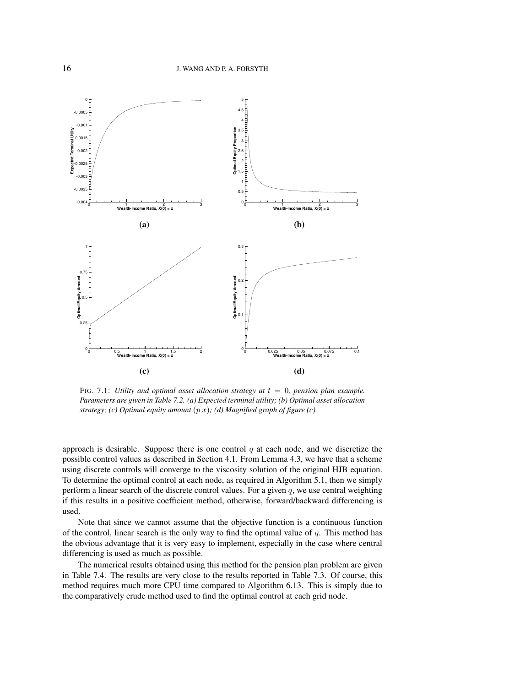

FIG. 7.1: *Utility and optimal asset allocation strategy at*  $t = 0$ *, pension plan example. Parameters are given in Table 7.2. (a) Expected terminal utility; (b) Optimal asset allocation strategy; (c) Optimal equity amount* (p x)*; (d) Magnified graph of figure (c).*

approach is desirable. Suppose there is one control  $q$  at each node, and we discretize the possible control values as described in Section 4.1. From Lemma 4.3, we have that a scheme using discrete controls will converge to the viscosity solution of the original HJB equation. To determine the optimal control at each node, as required in Algorithm 5.1, then we simply perform a linear search of the discrete control values. For a given  $q$ , we use central weighting if this results in a positive coefficient method, otherwise, forward/backward differencing is used.

Note that since we cannot assume that the objective function is a continuous function of the control, linear search is the only way to find the optimal value of  $q$ . This method has the obvious advantage that it is very easy to implement, especially in the case where central differencing is used as much as possible.

The numerical results obtained using this method for the pension plan problem are given in Table 7.4. The results are very close to the results reported in Table 7.3. Of course, this method requires much more CPU time compared to Algorithm 6.13. This is simply due to the comparatively crude method used to find the optimal control at each grid node.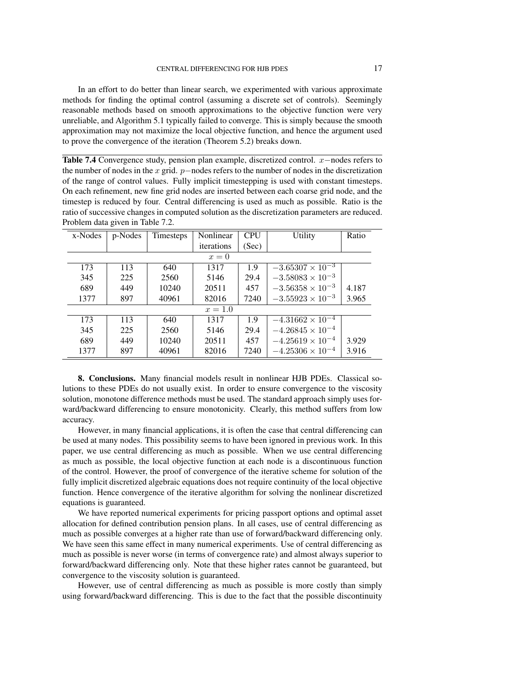In an effort to do better than linear search, we experimented with various approximate methods for finding the optimal control (assuming a discrete set of controls). Seemingly reasonable methods based on smooth approximations to the objective function were very unreliable, and Algorithm 5.1 typically failed to converge. This is simply because the smooth approximation may not maximize the local objective function, and hence the argument used to prove the convergence of the iteration (Theorem 5.2) breaks down.

Table 7.4 Convergence study, pension plan example, discretized control. x–nodes refers to the number of nodes in the x grid.  $p$ −nodes refers to the number of nodes in the discretization of the range of control values. Fully implicit timestepping is used with constant timesteps. On each refinement, new fine grid nodes are inserted between each coarse grid node, and the timestep is reduced by four. Central differencing is used as much as possible. Ratio is the ratio of successive changes in computed solution as the discretization parameters are reduced. Problem data given in Table 7.2.

| x-Nodes | p-Nodes | Timesteps | Nonlinear  | <b>CPU</b> | Utility                   | Ratio |
|---------|---------|-----------|------------|------------|---------------------------|-------|
|         |         |           | iterations | (Sec)      |                           |       |
|         |         |           | $x=0$      |            |                           |       |
| 173     | 113     | 640       | 1317       | 1.9        | $-3.65307 \times 10^{-3}$ |       |
| 345     | 225     | 2560      | 5146       | 29.4       | $-3.58083 \times 10^{-3}$ |       |
| 689     | 449     | 10240     | 20511      | 457        | $-3.56358 \times 10^{-3}$ | 4.187 |
| 1377    | 897     | 40961     | 82016      | 7240       | $-3.55923 \times 10^{-3}$ | 3.965 |
|         |         |           | $x = 1.0$  |            |                           |       |
| 173     | 113     | 640       | 1317       | 1.9        | $-4.31662 \times 10^{-4}$ |       |
| 345     | 225     | 2560      | 5146       | 29.4       | $-4.26845 \times 10^{-4}$ |       |
| 689     | 449     | 10240     | 20511      | 457        | $-4.25619 \times 10^{-4}$ | 3.929 |
| 1377    | 897     | 40961     | 82016      | 7240       | $-4.25306 \times 10^{-4}$ | 3.916 |

8. Conclusions. Many financial models result in nonlinear HJB PDEs. Classical solutions to these PDEs do not usually exist. In order to ensure convergence to the viscosity solution, monotone difference methods must be used. The standard approach simply uses forward/backward differencing to ensure monotonicity. Clearly, this method suffers from low accuracy.

However, in many financial applications, it is often the case that central differencing can be used at many nodes. This possibility seems to have been ignored in previous work. In this paper, we use central differencing as much as possible. When we use central differencing as much as possible, the local objective function at each node is a discontinuous function of the control. However, the proof of convergence of the iterative scheme for solution of the fully implicit discretized algebraic equations does not require continuity of the local objective function. Hence convergence of the iterative algorithm for solving the nonlinear discretized equations is guaranteed.

We have reported numerical experiments for pricing passport options and optimal asset allocation for defined contribution pension plans. In all cases, use of central differencing as much as possible converges at a higher rate than use of forward/backward differencing only. We have seen this same effect in many numerical experiments. Use of central differencing as much as possible is never worse (in terms of convergence rate) and almost always superior to forward/backward differencing only. Note that these higher rates cannot be guaranteed, but convergence to the viscosity solution is guaranteed.

However, use of central differencing as much as possible is more costly than simply using forward/backward differencing. This is due to the fact that the possible discontinuity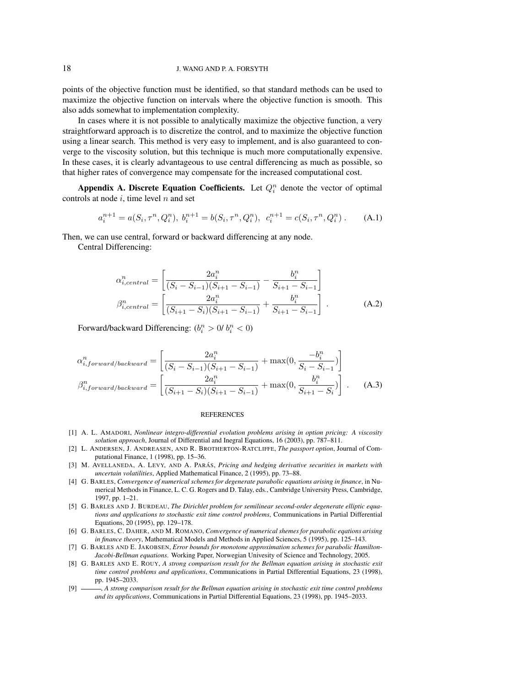## 18 J. WANG AND P. A. FORSYTH

points of the objective function must be identified, so that standard methods can be used to maximize the objective function on intervals where the objective function is smooth. This also adds somewhat to implementation complexity.

In cases where it is not possible to analytically maximize the objective function, a very straightforward approach is to discretize the control, and to maximize the objective function using a linear search. This method is very easy to implement, and is also guaranteed to converge to the viscosity solution, but this technique is much more computationally expensive. In these cases, it is clearly advantageous to use central differencing as much as possible, so that higher rates of convergence may compensate for the increased computational cost.

Appendix A. Discrete Equation Coefficients. Let  $Q_i^n$  denote the vector of optimal controls at node  $i$ , time level  $n$  and set

$$
a_i^{n+1} = a(S_i, \tau^n, Q_i^n), \ b_i^{n+1} = b(S_i, \tau^n, Q_i^n), \ c_i^{n+1} = c(S_i, \tau^n, Q_i^n). \tag{A.1}
$$

Then, we can use central, forward or backward differencing at any node.

Central Differencing:

$$
\alpha_{i,central}^{n} = \left[ \frac{2a_i^n}{(S_i - S_{i-1})(S_{i+1} - S_{i-1})} - \frac{b_i^n}{S_{i+1} - S_{i-1}} \right]
$$
  

$$
\beta_{i,central}^{n} = \left[ \frac{2a_i^n}{(S_{i+1} - S_i)(S_{i+1} - S_{i-1})} + \frac{b_i^n}{S_{i+1} - S_{i-1}} \right].
$$
 (A.2)

Forward/backward Differencing:  $(b_i^n > 0, b_i^n < 0)$ 

$$
\alpha_{i,forward/backward}^{n} = \left[ \frac{2a_i^{n}}{(S_i - S_{i-1})(S_{i+1} - S_{i-1})} + \max(0, \frac{-b_i^{n}}{S_i - S_{i-1}}) \right]
$$
  

$$
\beta_{i,forward/backward}^{n} = \left[ \frac{2a_i^{n}}{(S_{i+1} - S_i)(S_{i+1} - S_{i-1})} + \max(0, \frac{b_i^{n}}{S_{i+1} - S_i}) \right].
$$
 (A.3)

#### REFERENCES

- [1] A. L. AMADORI, *Nonlinear integro-differential evolution problems arising in option pricing: A viscosity solution approach*, Journal of Differential and Inegral Equations, 16 (2003), pp. 787–811.
- [2] L. ANDERSEN, J. ANDREASEN, AND R. BROTHERTON-RATCLIFFE, *The passport option*, Journal of Computational Finance, 1 (1998), pp. 15–36.
- [3] M. AVELLANEDA, A. LEVY, AND A. PARÁS, *Pricing and hedging derivative securities in markets with uncertain volatilities*, Applied Mathematical Finance, 2 (1995), pp. 73–88.
- [4] G. BARLES, *Convergence of numerical schemes for degenerate parabolic equations arising in finance*, in Numerical Methods in Finance, L. C. G. Rogers and D. Talay, eds., Cambridge University Press, Cambridge, 1997, pp. 1–21.
- [5] G. BARLES AND J. BURDEAU, *The Dirichlet problem for semilinear second-order degenerate elliptic equations and applications to stochastic exit time control problems*, Communications in Partial Differential Equations, 20 (1995), pp. 129–178.
- [6] G. BARLES, C. DAHER, AND M. ROMANO, *Convergence of numerical shemes for parabolic eqations arising in finance theory*, Mathematical Models and Methods in Applied Sciences, 5 (1995), pp. 125–143.
- [7] G. BARLES AND E. JAKOBSEN, *Error bounds for monotone approximation schemes for parabolic Hamilton-Jacobi-Bellman equations*. Working Paper, Norwegian Univesity of Science and Technology, 2005.
- [8] G. BARLES AND E. ROUY, *A strong comparison result for the Bellman equation arising in stochastic exit time control problems and applications*, Communications in Partial Differential Equations, 23 (1998), pp. 1945–2033.
- [9] , *A strong comparison result for the Bellman equation arising in stochastic exit time control problems and its applications*, Communications in Partial Differential Equations, 23 (1998), pp. 1945–2033.